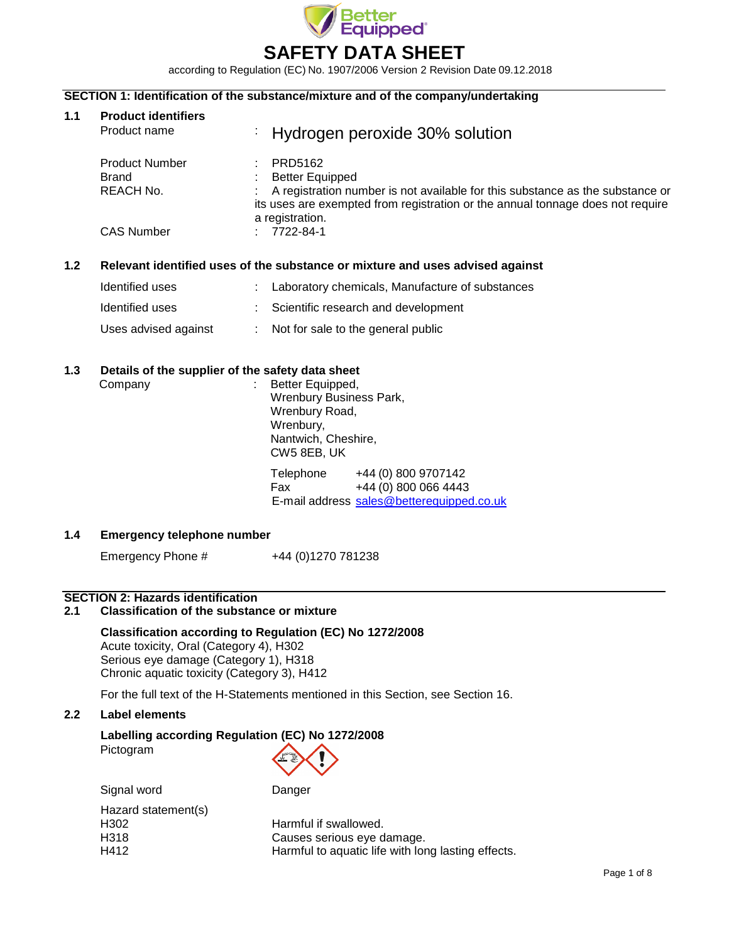

according to Regulation (EC) No. 1907/2006 Version 2 Revision Date 09.12.2018

## **SECTION 1: Identification of the substance/mixture and of the company/undertaking**

| 1.1 | <b>Product identifiers</b><br>Product name | Hydrogen peroxide 30% solution                                                                                                                                                     |
|-----|--------------------------------------------|------------------------------------------------------------------------------------------------------------------------------------------------------------------------------------|
|     | <b>Product Number</b><br>Brand             | PRD5162<br><b>Better Equipped</b>                                                                                                                                                  |
|     | REACH No.                                  | A registration number is not available for this substance as the substance or<br>its uses are exempted from registration or the annual tonnage does not require<br>a registration. |
|     | <b>CAS Number</b>                          | 7722-84-1                                                                                                                                                                          |
|     |                                            |                                                                                                                                                                                    |

## **1.2 Relevant identified uses of the substance or mixture and uses advised against**

| Identified uses      | : Laboratory chemicals, Manufacture of substances |
|----------------------|---------------------------------------------------|
| Identified uses      | Scientific research and development               |
| Uses advised against | $\therefore$ Not for sale to the general public   |

#### **1.3 Details of the supplier of the safety data sheet**

| Company | Better Equipped,<br>Wrenbury Business Park,<br>Wrenbury Road,<br>Wrenbury,<br>Nantwich, Cheshire,<br>CW5 8EB, UK |                                                                                          |
|---------|------------------------------------------------------------------------------------------------------------------|------------------------------------------------------------------------------------------|
|         | Telephone<br>Fax                                                                                                 | +44 (0) 800 9707142<br>+44 (0) 800 066 4443<br>E-mail address sales@betterequipped.co.uk |

## **1.4 Emergency telephone number**

Emergency Phone #  $+44 (0)1270 781238$ 

### **SECTION 2: Hazards identification**

### **2.1 Classification of the substance or mixture**

## **Classification according to Regulation (EC) No 1272/2008**

Acute toxicity, Oral (Category 4), H302 Serious eye damage (Category 1), H318 Chronic aquatic toxicity (Category 3), H412

For the full text of the H-Statements mentioned in this Section, see Section 16.

### **2.2 Label elements**

# **Labelling according Regulation (EC) No 1272/2008**

Pictogram



| Signal word         | Danger                                             |
|---------------------|----------------------------------------------------|
| Hazard statement(s) |                                                    |
| H302                | Harmful if swallowed.                              |
| H318                | Causes serious eye damage.                         |
| H412                | Harmful to aquatic life with long lasting effects. |
|                     |                                                    |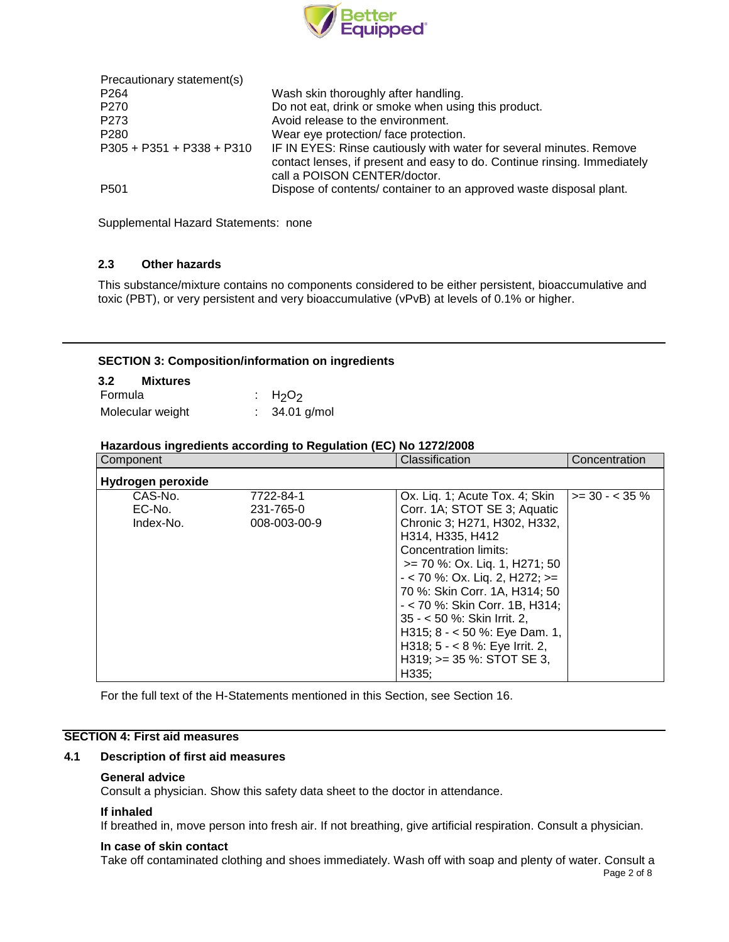

| Precautionary statement(s)  |                                                                                                                                                                                 |
|-----------------------------|---------------------------------------------------------------------------------------------------------------------------------------------------------------------------------|
| P <sub>264</sub>            | Wash skin thoroughly after handling.                                                                                                                                            |
| P270                        | Do not eat, drink or smoke when using this product.                                                                                                                             |
| P273                        | Avoid release to the environment.                                                                                                                                               |
| P <sub>280</sub>            | Wear eye protection/face protection.                                                                                                                                            |
| $P305 + P351 + P338 + P310$ | IF IN EYES: Rinse cautiously with water for several minutes. Remove<br>contact lenses, if present and easy to do. Continue rinsing. Immediately<br>call a POISON CENTER/doctor. |
| P <sub>501</sub>            | Dispose of contents/ container to an approved waste disposal plant.                                                                                                             |

Supplemental Hazard Statements: none

## **2.3 Other hazards**

This substance/mixture contains no components considered to be either persistent, bioaccumulative and toxic (PBT), or very persistent and very bioaccumulative (vPvB) at levels of 0.1% or higher.

### **SECTION 3: Composition/information on ingredients**

| 3.2     | Mixtures         |                 |
|---------|------------------|-----------------|
| Formula |                  | : $H_2O_2$      |
|         | Molecular weight | $: 34.01$ g/mol |

### **Hazardous ingredients according to Regulation (EC) No 1272/2008**

| Component                      |                                        | Classification                                                                                                                                                                                                                                                                                                                                                                                                                      | Concentration      |
|--------------------------------|----------------------------------------|-------------------------------------------------------------------------------------------------------------------------------------------------------------------------------------------------------------------------------------------------------------------------------------------------------------------------------------------------------------------------------------------------------------------------------------|--------------------|
| Hydrogen peroxide              |                                        |                                                                                                                                                                                                                                                                                                                                                                                                                                     |                    |
| CAS-No.<br>EC-No.<br>Index-No. | 7722-84-1<br>231-765-0<br>008-003-00-9 | Ox. Liq. 1; Acute Tox. 4; Skin<br>Corr. 1A; STOT SE 3; Aquatic<br>Chronic 3; H271, H302, H332,<br>H314, H335, H412<br>Concentration limits:<br>$\ge$ 70 %: Ox. Lig. 1, H271; 50<br>$-$ < 70 %: Ox. Lig. 2, H272; >=<br>70 %: Skin Corr. 1A, H314; 50<br>- < 70 %: Skin Corr. 1B, H314;<br>35 - < 50 %: Skin Irrit. 2.<br>H315; $8 - 50$ %: Eye Dam. 1,<br>H318; $5 - 8$ %: Eye Irrit. 2,<br>$H319$ ; $>= 35$ %: STOT SE 3,<br>H335; | $>=$ 30 - $<$ 35 % |

For the full text of the H-Statements mentioned in this Section, see Section 16.

## **SECTION 4: First aid measures**

### **4.1 Description of first aid measures**

### **General advice**

Consult a physician. Show this safety data sheet to the doctor in attendance.

### **If inhaled**

If breathed in, move person into fresh air. If not breathing, give artificial respiration. Consult a physician.

#### **In case of skin contact**

Page 2 of 8 Take off contaminated clothing and shoes immediately. Wash off with soap and plenty of water. Consult a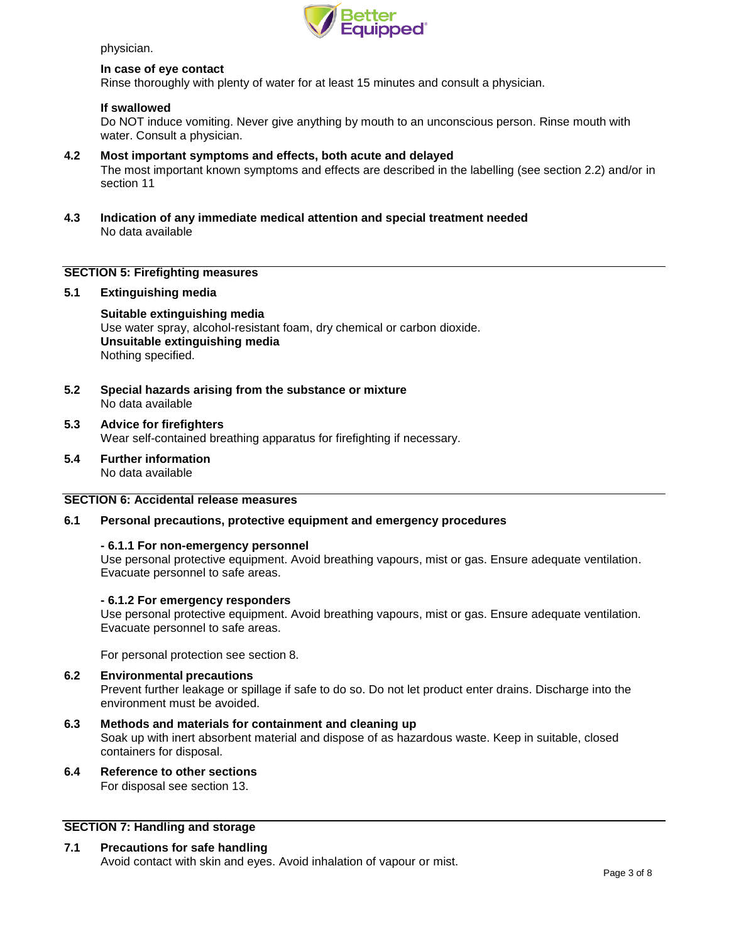

physician.

#### **In case of eye contact**

Rinse thoroughly with plenty of water for at least 15 minutes and consult a physician.

### **If swallowed**

Do NOT induce vomiting. Never give anything by mouth to an unconscious person. Rinse mouth with water. Consult a physician.

- **4.2 Most important symptoms and effects, both acute and delayed** The most important known symptoms and effects are described in the labelling (see section 2.2) and/or in section 11
- **4.3 Indication of any immediate medical attention and special treatment needed** No data available

### **SECTION 5: Firefighting measures**

### **5.1 Extinguishing media**

**Suitable extinguishing media** Use water spray, alcohol-resistant foam, dry chemical or carbon dioxide. **Unsuitable extinguishing media** Nothing specified.

**5.2 Special hazards arising from the substance or mixture** No data available

#### **5.3 Advice for firefighters** Wear self-contained breathing apparatus for firefighting if necessary.

**5.4 Further information** No data available

### **SECTION 6: Accidental release measures**

#### **6.1 Personal precautions, protective equipment and emergency procedures**

#### **- 6.1.1 For non-emergency personnel**

Use personal protective equipment. Avoid breathing vapours, mist or gas. Ensure adequate ventilation. Evacuate personnel to safe areas.

#### **- 6.1.2 For emergency responders**

Use personal protective equipment. Avoid breathing vapours, mist or gas. Ensure adequate ventilation. Evacuate personnel to safe areas.

For personal protection see section 8.

#### **6.2 Environmental precautions**

Prevent further leakage or spillage if safe to do so. Do not let product enter drains. Discharge into the environment must be avoided.

**6.3 Methods and materials for containment and cleaning up**

Soak up with inert absorbent material and dispose of as hazardous waste. Keep in suitable, closed containers for disposal.

**6.4 Reference to other sections** For disposal see section 13.

### **SECTION 7: Handling and storage**

#### **7.1 Precautions for safe handling**

Avoid contact with skin and eyes. Avoid inhalation of vapour or mist.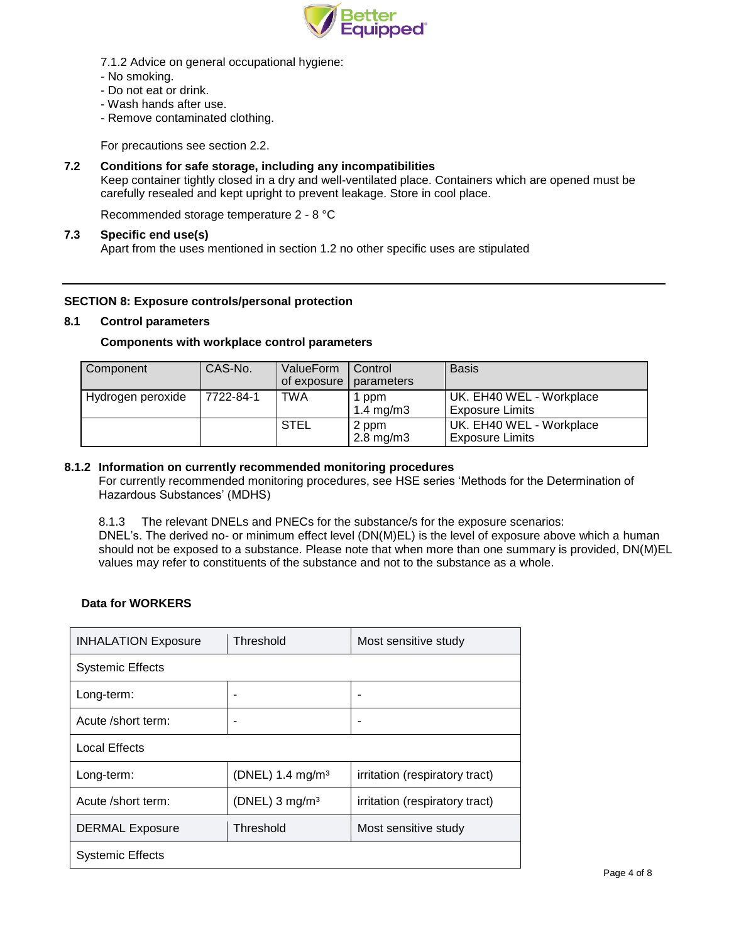

- 7.1.2 Advice on general occupational hygiene:
- No smoking.
- Do not eat or drink.
- Wash hands after use.
- Remove contaminated clothing.

For precautions see section 2.2.

### **7.2 Conditions for safe storage, including any incompatibilities**

Keep container tightly closed in a dry and well-ventilated place. Containers which are opened must be carefully resealed and kept upright to prevent leakage. Store in cool place.

Recommended storage temperature 2 - 8 °C

### **7.3 Specific end use(s)**

Apart from the uses mentioned in section 1.2 no other specific uses are stipulated

### **SECTION 8: Exposure controls/personal protection**

### **8.1 Control parameters**

### **Components with workplace control parameters**

| Component         | l CAS-No. | ValueForm<br>of exposure | Control<br>parameters       | <b>Basis</b>                                       |
|-------------------|-----------|--------------------------|-----------------------------|----------------------------------------------------|
| Hydrogen peroxide | 7722-84-1 | TWA                      | ppm<br>$1.4 \text{ mg/m}$ 3 | UK. EH40 WEL - Workplace<br><b>Exposure Limits</b> |
|                   |           | <b>STEL</b>              | 2 ppm<br>$2.8 \text{ mg/m}$ | UK. EH40 WEL - Workplace<br><b>Exposure Limits</b> |

### **8.1.2 Information on currently recommended monitoring procedures**

For currently recommended monitoring procedures, see HSE series 'Methods for the Determination of Hazardous Substances' (MDHS)

8.1.3 The relevant DNELs and PNECs for the substance/s for the exposure scenarios:

DNEL's. The derived no- or minimum effect level (DN(M)EL) is the level of exposure above which a human should not be exposed to a substance. Please note that when more than one summary is provided, DN(M)EL values may refer to constituents of the substance and not to the substance as a whole.

### **Data for WORKERS**

| <b>INHALATION Exposure</b> | Threshold                    | Most sensitive study           |  |  |
|----------------------------|------------------------------|--------------------------------|--|--|
| <b>Systemic Effects</b>    |                              |                                |  |  |
| Long-term:                 | -                            |                                |  |  |
| Acute /short term:         | -                            |                                |  |  |
| <b>Local Effects</b>       |                              |                                |  |  |
| Long-term:                 | (DNEL) 1.4 mg/m <sup>3</sup> | irritation (respiratory tract) |  |  |
| Acute /short term:         | (DNEL) $3$ mg/m <sup>3</sup> | irritation (respiratory tract) |  |  |
| <b>DERMAL Exposure</b>     | Threshold                    | Most sensitive study           |  |  |
| <b>Systemic Effects</b>    |                              |                                |  |  |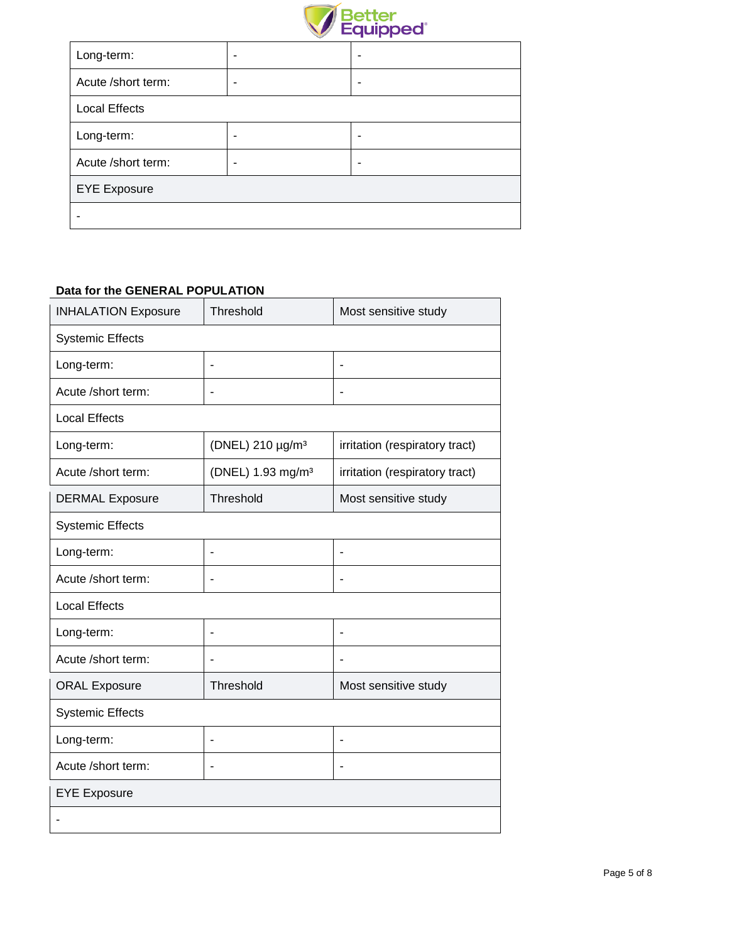

| Long-term:           | - |
|----------------------|---|
| Acute /short term:   | - |
| <b>Local Effects</b> |   |
| Long-term:           |   |
| Acute /short term:   | ۰ |
| <b>EYE</b> Exposure  |   |
|                      |   |

## **Data for the GENERAL POPULATION**

| <b>INHALATION Exposure</b> | Threshold                     | Most sensitive study           |  |  |  |
|----------------------------|-------------------------------|--------------------------------|--|--|--|
| <b>Systemic Effects</b>    |                               |                                |  |  |  |
| Long-term:                 | ÷,                            | ÷                              |  |  |  |
| Acute /short term:         |                               | $\blacksquare$                 |  |  |  |
| <b>Local Effects</b>       |                               |                                |  |  |  |
| Long-term:                 | (DNEL) 210 µg/m <sup>3</sup>  | irritation (respiratory tract) |  |  |  |
| Acute /short term:         | (DNEL) 1.93 mg/m <sup>3</sup> | irritation (respiratory tract) |  |  |  |
| <b>DERMAL Exposure</b>     | Threshold                     | Most sensitive study           |  |  |  |
| <b>Systemic Effects</b>    |                               |                                |  |  |  |
| Long-term:                 | ٠                             | $\blacksquare$                 |  |  |  |
| Acute /short term:         |                               | ÷.                             |  |  |  |
| <b>Local Effects</b>       |                               |                                |  |  |  |
| Long-term:                 | ÷,                            | ÷,                             |  |  |  |
| Acute /short term:         | ٠                             | ÷,                             |  |  |  |
| <b>ORAL Exposure</b>       | Threshold                     | Most sensitive study           |  |  |  |
| <b>Systemic Effects</b>    |                               |                                |  |  |  |
| Long-term:                 | ä,                            | ä,                             |  |  |  |
| Acute /short term:         | ٠                             | ä,                             |  |  |  |
| <b>EYE Exposure</b>        |                               |                                |  |  |  |
|                            |                               |                                |  |  |  |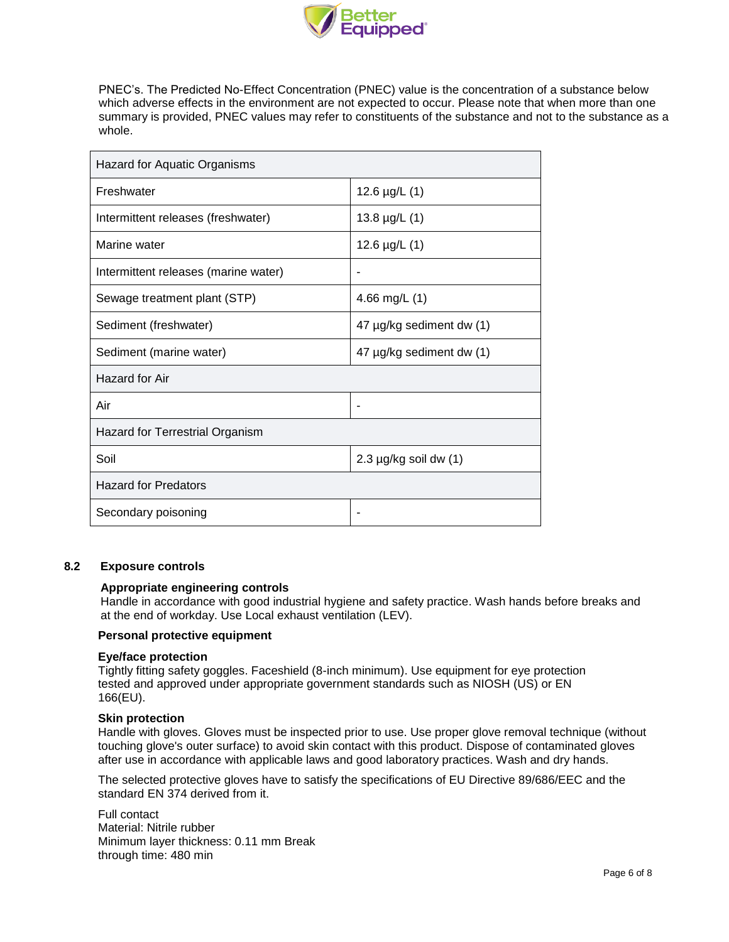

PNEC's. The Predicted No-Effect Concentration (PNEC) value is the concentration of a substance below which adverse effects in the environment are not expected to occur. Please note that when more than one summary is provided, PNEC values may refer to constituents of the substance and not to the substance as a whole.

| Hazard for Aquatic Organisms         |                              |  |  |
|--------------------------------------|------------------------------|--|--|
| Freshwater                           | 12.6 $\mu$ g/L $(1)$         |  |  |
| Intermittent releases (freshwater)   | 13.8 $\mu$ g/L $(1)$         |  |  |
| Marine water                         | 12.6 $\mu$ g/L $(1)$         |  |  |
| Intermittent releases (marine water) | ٠                            |  |  |
| Sewage treatment plant (STP)         | 4.66 mg/L $(1)$              |  |  |
| Sediment (freshwater)                | 47 µg/kg sediment dw (1)     |  |  |
| Sediment (marine water)              | 47 µg/kg sediment dw (1)     |  |  |
| Hazard for Air                       |                              |  |  |
| Air                                  | ۰                            |  |  |
| Hazard for Terrestrial Organism      |                              |  |  |
| Soil                                 | $2.3 \mu g/kg$ soil dw $(1)$ |  |  |
| <b>Hazard for Predators</b>          |                              |  |  |
| Secondary poisoning                  |                              |  |  |

## **8.2 Exposure controls**

### **Appropriate engineering controls**

Handle in accordance with good industrial hygiene and safety practice. Wash hands before breaks and at the end of workday. Use Local exhaust ventilation (LEV).

### **Personal protective equipment**

#### **Eye/face protection**

Tightly fitting safety goggles. Faceshield (8-inch minimum). Use equipment for eye protection tested and approved under appropriate government standards such as NIOSH (US) or EN 166(EU).

#### **Skin protection**

Handle with gloves. Gloves must be inspected prior to use. Use proper glove removal technique (without touching glove's outer surface) to avoid skin contact with this product. Dispose of contaminated gloves after use in accordance with applicable laws and good laboratory practices. Wash and dry hands.

The selected protective gloves have to satisfy the specifications of EU Directive 89/686/EEC and the standard EN 374 derived from it.

Full contact Material: Nitrile rubber Minimum layer thickness: 0.11 mm Break through time: 480 min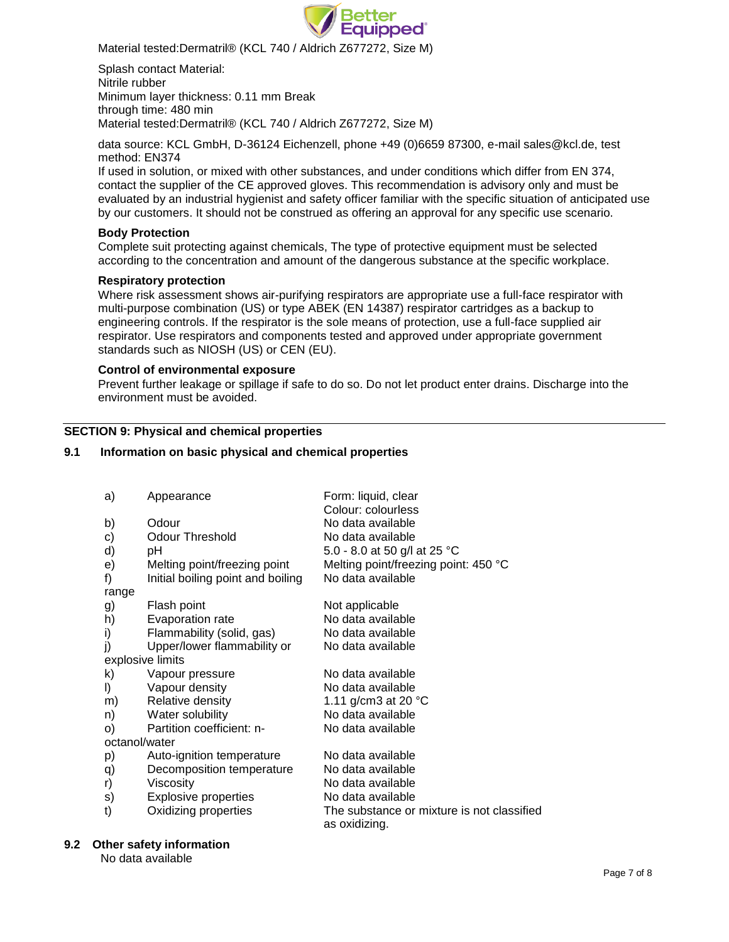

Material tested:Dermatril® (KCL 740 / Aldrich Z677272, Size M)

Splash contact Material: Nitrile rubber Minimum layer thickness: 0.11 mm Break through time: 480 min Material tested:Dermatril® (KCL 740 / Aldrich Z677272, Size M)

data source: KCL GmbH, D-36124 Eichenzell, phone +49 (0)6659 87300, e-mail [sales@kcl.de,](mailto:sales@kcl.de) test method: EN374

If used in solution, or mixed with other substances, and under conditions which differ from EN 374, contact the supplier of the CE approved gloves. This recommendation is advisory only and must be evaluated by an industrial hygienist and safety officer familiar with the specific situation of anticipated use by our customers. It should not be construed as offering an approval for any specific use scenario.

### **Body Protection**

Complete suit protecting against chemicals, The type of protective equipment must be selected according to the concentration and amount of the dangerous substance at the specific workplace.

#### **Respiratory protection**

Where risk assessment shows air-purifying respirators are appropriate use a full-face respirator with multi-purpose combination (US) or type ABEK (EN 14387) respirator cartridges as a backup to engineering controls. If the respirator is the sole means of protection, use a full-face supplied air respirator. Use respirators and components tested and approved under appropriate government standards such as NIOSH (US) or CEN (EU).

#### **Control of environmental exposure**

Prevent further leakage or spillage if safe to do so. Do not let product enter drains. Discharge into the environment must be avoided.

### **SECTION 9: Physical and chemical properties**

#### **9.1 Information on basic physical and chemical properties**

| Appearance                  | Form: liquid, clear<br>Colour: colourless                                            |  |  |  |
|-----------------------------|--------------------------------------------------------------------------------------|--|--|--|
| Odour                       | No data available                                                                    |  |  |  |
|                             | No data available                                                                    |  |  |  |
| рH                          | 5.0 - 8.0 at 50 g/l at 25 °C                                                         |  |  |  |
|                             | Melting point/freezing point: 450 °C                                                 |  |  |  |
|                             | No data available                                                                    |  |  |  |
|                             |                                                                                      |  |  |  |
| Flash point                 | Not applicable                                                                       |  |  |  |
| Evaporation rate            | No data available                                                                    |  |  |  |
| Flammability (solid, gas)   | No data available                                                                    |  |  |  |
| Upper/lower flammability or | No data available                                                                    |  |  |  |
| explosive limits            |                                                                                      |  |  |  |
| Vapour pressure             | No data available                                                                    |  |  |  |
| Vapour density              | No data available                                                                    |  |  |  |
| Relative density            | 1.11 g/cm3 at 20 $^{\circ}$ C                                                        |  |  |  |
| Water solubility            | No data available                                                                    |  |  |  |
| Partition coefficient: n-   | No data available                                                                    |  |  |  |
| O)<br>octanol/water         |                                                                                      |  |  |  |
| Auto-ignition temperature   | No data available                                                                    |  |  |  |
| Decomposition temperature   | No data available                                                                    |  |  |  |
| Viscosity                   | No data available                                                                    |  |  |  |
| <b>Explosive properties</b> | No data available                                                                    |  |  |  |
| Oxidizing properties        | The substance or mixture is not classified<br>as oxidizing.                          |  |  |  |
|                             | Odour Threshold<br>Melting point/freezing point<br>Initial boiling point and boiling |  |  |  |

#### **9.2 Other safety information**

No data available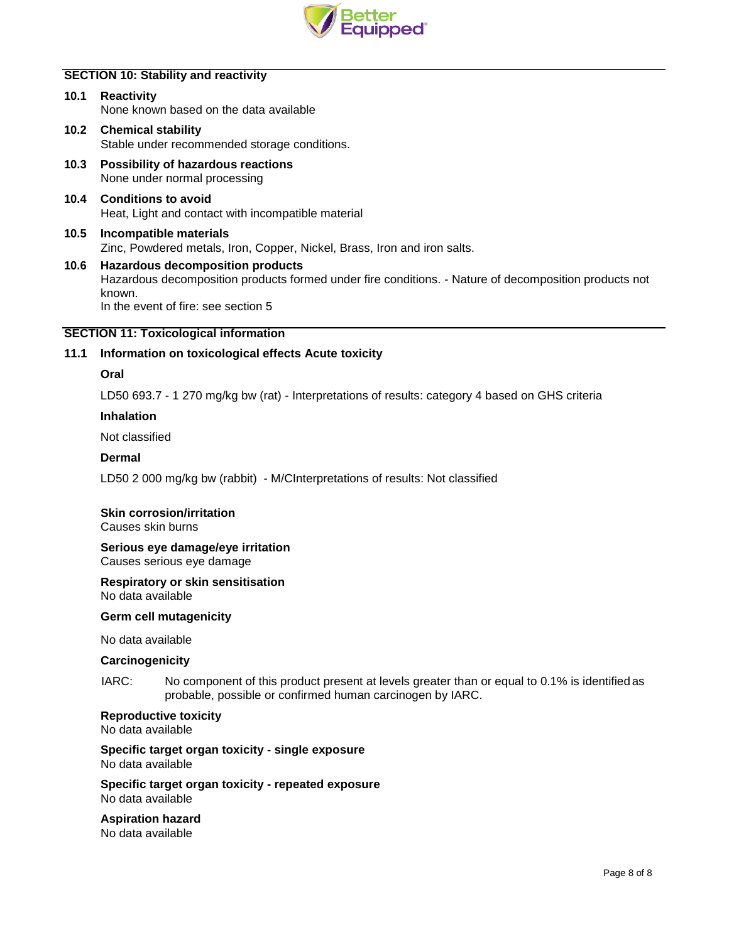

## **SECTION 10: Stability and reactivity**

| 10.1 Reactivity                        |  |
|----------------------------------------|--|
| None known based on the data available |  |
|                                        |  |

- **10.2 Chemical stability** Stable under recommended storage conditions.
- **10.3 Possibility of hazardous reactions** None under normal processing
- **10.4 Conditions to avoid** Heat, Light and contact with incompatible material
- **10.5 Incompatible materials** Zinc, Powdered metals, Iron, Copper, Nickel, Brass, Iron and iron salts.

### **10.6 Hazardous decomposition products** Hazardous decomposition products formed under fire conditions. - Nature of decomposition products not known. In the event of fire: see section 5

### **SECTION 11: Toxicological information**

### **11.1 Information on toxicological effects Acute toxicity**

### **Oral**

LD50 693.7 - 1 270 mg/kg bw (rat) - Interpretations of results: category 4 based on GHS criteria

#### **Inhalation**

Not classified

#### **Dermal**

LD50 2 000 mg/kg bw (rabbit) - M/CInterpretations of results: Not classified

#### **Skin corrosion/irritation**

Causes skin burns

## **Serious eye damage/eye irritation**

Causes serious eye damage

#### **Respiratory or skin sensitisation**

No data available

### **Germ cell mutagenicity**

No data available

#### **Carcinogenicity**

IARC: No component of this product present at levels greater than or equal to 0.1% is identified as probable, possible or confirmed human carcinogen by IARC.

### **Reproductive toxicity**

No data available

#### **Specific target organ toxicity - single exposure** No data available

#### **Specific target organ toxicity - repeated exposure** No data available

#### **Aspiration hazard** No data available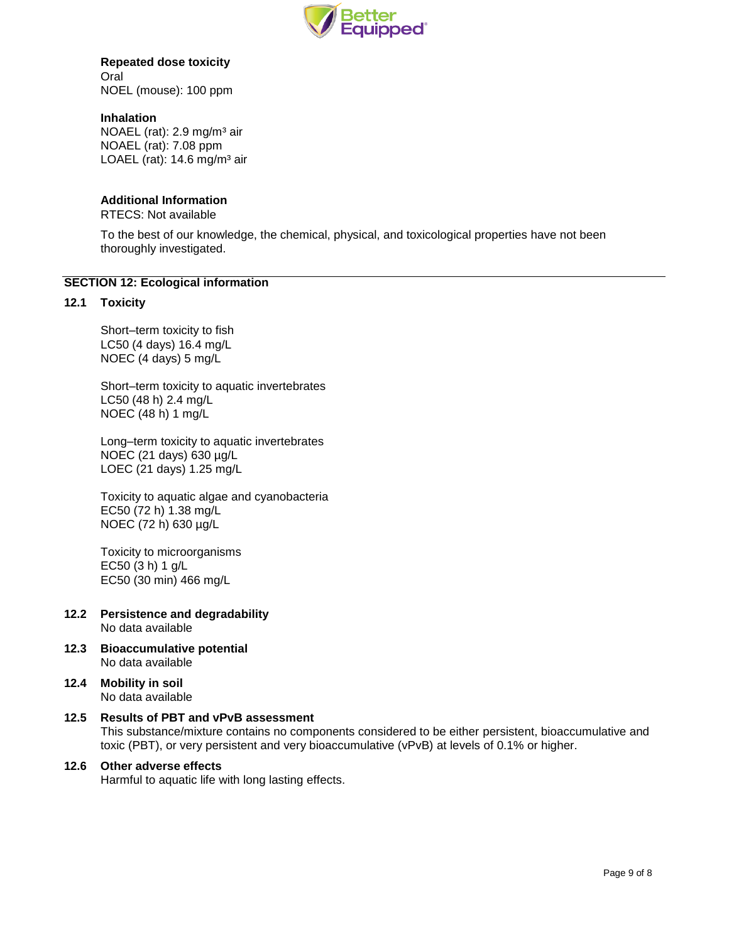

### **Repeated dose toxicity** Oral NOEL (mouse): 100 ppm

**Inhalation**

NOAEL (rat): 2.9 mg/m<sup>3</sup> air NOAEL (rat): 7.08 ppm LOAEL (rat):  $14.6$  mg/m<sup>3</sup> air

## **Additional Information**

RTECS: Not available

To the best of our knowledge, the chemical, physical, and toxicological properties have not been thoroughly investigated.

### **SECTION 12: Ecological information**

### **12.1 Toxicity**

Short–term toxicity to fish LC50 (4 days) 16.4 mg/L NOEC (4 days) 5 mg/L

Short–term toxicity to aquatic invertebrates LC50 (48 h) 2.4 mg/L NOEC (48 h) 1 mg/L

Long–term toxicity to aquatic invertebrates NOEC (21 days) 630 µg/L LOEC (21 days) 1.25 mg/L

Toxicity to aquatic algae and cyanobacteria EC50 (72 h) 1.38 mg/L NOEC (72 h) 630 µg/L

Toxicity to microorganisms EC50 (3 h) 1 g/L EC50 (30 min) 466 mg/L

- **12.2 Persistence and degradability** No data available
- **12.3 Bioaccumulative potential** No data available
- **12.4 Mobility in soil** No data available
- **12.5 Results of PBT and vPvB assessment** This substance/mixture contains no components considered to be either persistent, bioaccumulative and toxic (PBT), or very persistent and very bioaccumulative (vPvB) at levels of 0.1% or higher.

## **12.6 Other adverse effects**

Harmful to aquatic life with long lasting effects.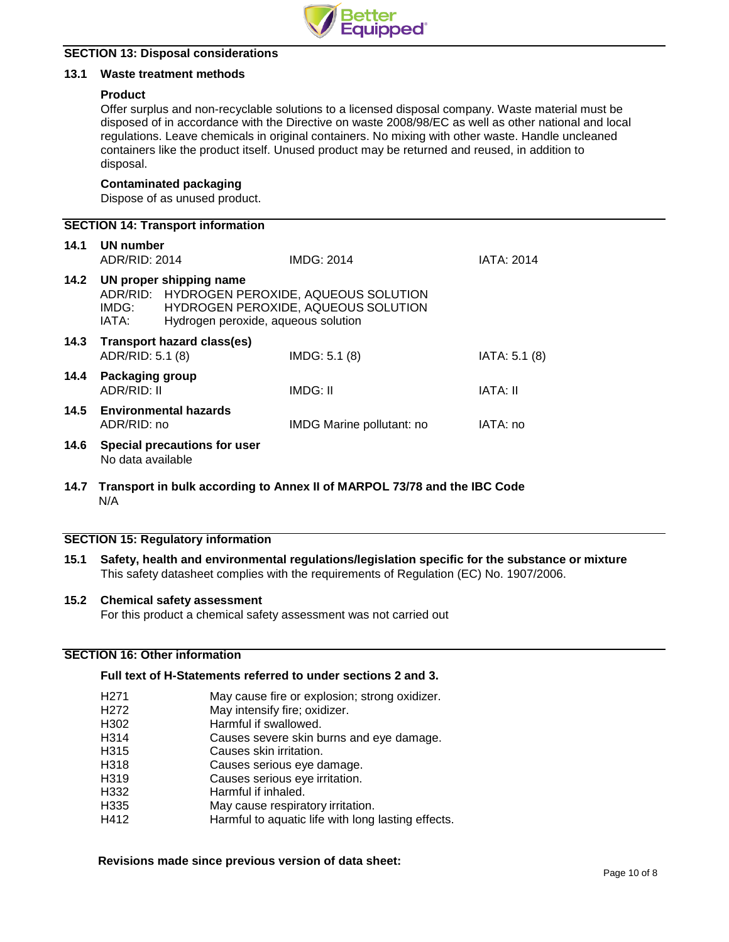

### **SECTION 13: Disposal considerations**

### **13.1 Waste treatment methods**

### **Product**

Offer surplus and non-recyclable solutions to a licensed disposal company. Waste material must be disposed of in accordance with the Directive on waste 2008/98/EC as well as other national and local regulations. Leave chemicals in original containers. No mixing with other waste. Handle uncleaned containers like the product itself. Unused product may be returned and reused, in addition to disposal.

### **Contaminated packaging**

Dispose of as unused product.

| <b>SECTION 14: Transport information</b> |                                                                                                                                                                         |                              |                           |                   |  |
|------------------------------------------|-------------------------------------------------------------------------------------------------------------------------------------------------------------------------|------------------------------|---------------------------|-------------------|--|
| 14.1                                     | UN number<br>ADR/RID: 2014                                                                                                                                              |                              | IMDG: 2014                | <b>IATA: 2014</b> |  |
| 14.2                                     | UN proper shipping name<br>ADR/RID: HYDROGEN PEROXIDE, AQUEOUS SOLUTION<br>HYDROGEN PEROXIDE, AQUEOUS SOLUTION<br>IMDG:<br>Hydrogen peroxide, aqueous solution<br>IATA: |                              |                           |                   |  |
| 14.3                                     | ADR/RID: 5.1 (8)                                                                                                                                                        | Transport hazard class(es)   | IMDG: 5.1 (8)             | IATA: 5.1 (8)     |  |
| 14.4                                     | Packaging group<br>ADR/RID: II                                                                                                                                          |                              | IMDG: II                  | <b>IATA: II</b>   |  |
| 14.5                                     | ADR/RID: no                                                                                                                                                             | <b>Environmental hazards</b> | IMDG Marine pollutant: no | IATA: no          |  |
| 14.6                                     | No data available                                                                                                                                                       | Special precautions for user |                           |                   |  |

**14.7 Transport in bulk according to Annex II of MARPOL 73/78 and the IBC Code** N/A

## **SECTION 15: Regulatory information**

**15.1 Safety, health and environmental regulations/legislation specific for the substance or mixture** This safety datasheet complies with the requirements of Regulation (EC) No. 1907/2006.

#### **15.2 Chemical safety assessment**

For this product a chemical safety assessment was not carried out

## **SECTION 16: Other information**

### **Full text of H-Statements referred to under sections 2 and 3.**

| H <sub>271</sub>  | May cause fire or explosion; strong oxidizer.      |
|-------------------|----------------------------------------------------|
| H <sub>272</sub>  | May intensify fire; oxidizer.                      |
| H302              | Harmful if swallowed.                              |
| H <sub>3</sub> 14 | Causes severe skin burns and eye damage.           |
| H315              | Causes skin irritation.                            |
| H318              | Causes serious eye damage.                         |
| H319              | Causes serious eye irritation.                     |
| H332              | Harmful if inhaled.                                |
| H <sub>335</sub>  | May cause respiratory irritation.                  |
| H412              | Harmful to aquatic life with long lasting effects. |

#### **Revisions made since previous version of data sheet:**